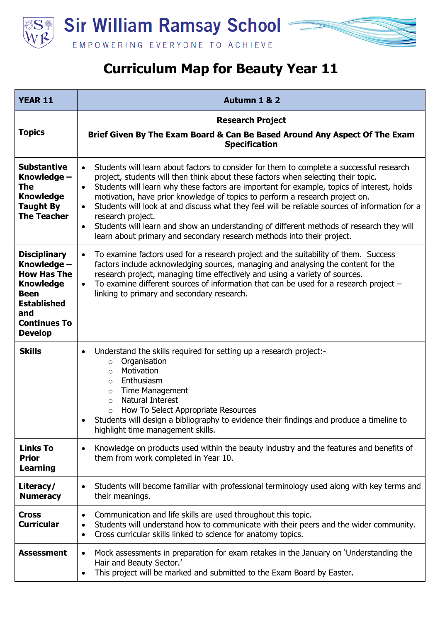

**Sir William Ramsay School -**EMPOWERING EVERYONE TO ACHIEVE

## **Curriculum Map for Beauty Year 11**

| <b>YEAR 11</b>                                                                                                                                                    | <b>Autumn 1 &amp; 2</b>                                                                                                                                                                                                                                                                                                                                                                                                                                                                                                                                                                                                                                                                                      |
|-------------------------------------------------------------------------------------------------------------------------------------------------------------------|--------------------------------------------------------------------------------------------------------------------------------------------------------------------------------------------------------------------------------------------------------------------------------------------------------------------------------------------------------------------------------------------------------------------------------------------------------------------------------------------------------------------------------------------------------------------------------------------------------------------------------------------------------------------------------------------------------------|
| <b>Topics</b>                                                                                                                                                     | <b>Research Project</b><br>Brief Given By The Exam Board & Can Be Based Around Any Aspect Of The Exam<br><b>Specification</b>                                                                                                                                                                                                                                                                                                                                                                                                                                                                                                                                                                                |
| <b>Substantive</b><br>Knowledge -<br>The<br><b>Knowledge</b><br><b>Taught By</b><br><b>The Teacher</b>                                                            | Students will learn about factors to consider for them to complete a successful research<br>$\bullet$<br>project, students will then think about these factors when selecting their topic.<br>Students will learn why these factors are important for example, topics of interest, holds<br>$\bullet$<br>motivation, have prior knowledge of topics to perform a research project on.<br>Students will look at and discuss what they feel will be reliable sources of information for a<br>$\bullet$<br>research project.<br>Students will learn and show an understanding of different methods of research they will<br>$\bullet$<br>learn about primary and secondary research methods into their project. |
| <b>Disciplinary</b><br>Knowledge -<br><b>How Has The</b><br><b>Knowledge</b><br><b>Been</b><br><b>Established</b><br>and<br><b>Continues To</b><br><b>Develop</b> | To examine factors used for a research project and the suitability of them. Success<br>$\bullet$<br>factors include acknowledging sources, managing and analysing the content for the<br>research project, managing time effectively and using a variety of sources.<br>To examine different sources of information that can be used for a research project $-$<br>$\bullet$<br>linking to primary and secondary research.                                                                                                                                                                                                                                                                                   |
| <b>Skills</b>                                                                                                                                                     | Understand the skills required for setting up a research project:-<br>$\bullet$<br>Organisation<br>$\circ$<br>Motivation<br>$\circ$<br>Enthusiasm<br>$\circ$<br><b>Time Management</b><br>$\circ$<br>Natural Interest<br>$\circ$<br>How To Select Appropriate Resources<br>$\circ$<br>Students will design a bibliography to evidence their findings and produce a timeline to<br>highlight time management skills.                                                                                                                                                                                                                                                                                          |
| <b>Links To</b><br><b>Prior</b><br>Learning                                                                                                                       | Knowledge on products used within the beauty industry and the features and benefits of<br>$\bullet$<br>them from work completed in Year 10.                                                                                                                                                                                                                                                                                                                                                                                                                                                                                                                                                                  |
| Literacy/<br><b>Numeracy</b>                                                                                                                                      | Students will become familiar with professional terminology used along with key terms and<br>$\bullet$<br>their meanings.                                                                                                                                                                                                                                                                                                                                                                                                                                                                                                                                                                                    |
| <b>Cross</b><br><b>Curricular</b>                                                                                                                                 | Communication and life skills are used throughout this topic.<br>$\bullet$<br>Students will understand how to communicate with their peers and the wider community.<br>$\bullet$<br>Cross curricular skills linked to science for anatomy topics.<br>$\bullet$                                                                                                                                                                                                                                                                                                                                                                                                                                               |
| <b>Assessment</b>                                                                                                                                                 | Mock assessments in preparation for exam retakes in the January on 'Understanding the<br>$\bullet$<br>Hair and Beauty Sector.'<br>This project will be marked and submitted to the Exam Board by Easter.<br>$\bullet$                                                                                                                                                                                                                                                                                                                                                                                                                                                                                        |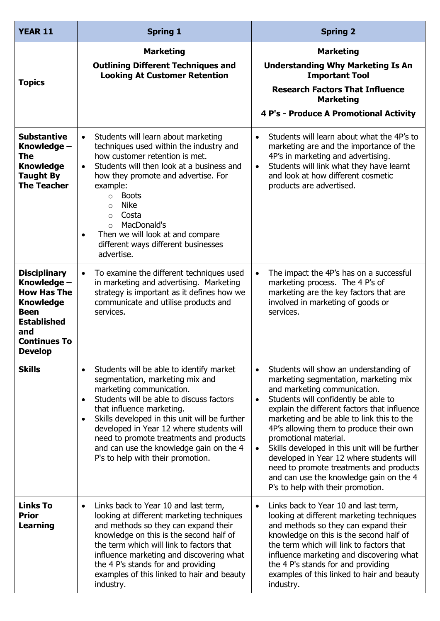| <b>YEAR 11</b>                                                                                                                                                    | <b>Spring 1</b>                                                                                                                                                                                                                                                                                                                                                                                                                                     | <b>Spring 2</b>                                                                                                                                                                                                                                                                                                                                                                                                                                                                                                                                                                         |
|-------------------------------------------------------------------------------------------------------------------------------------------------------------------|-----------------------------------------------------------------------------------------------------------------------------------------------------------------------------------------------------------------------------------------------------------------------------------------------------------------------------------------------------------------------------------------------------------------------------------------------------|-----------------------------------------------------------------------------------------------------------------------------------------------------------------------------------------------------------------------------------------------------------------------------------------------------------------------------------------------------------------------------------------------------------------------------------------------------------------------------------------------------------------------------------------------------------------------------------------|
| <b>Topics</b>                                                                                                                                                     | <b>Marketing</b><br><b>Outlining Different Techniques and</b><br><b>Looking At Customer Retention</b>                                                                                                                                                                                                                                                                                                                                               | <b>Marketing</b><br><b>Understanding Why Marketing Is An</b><br><b>Important Tool</b><br><b>Research Factors That Influence</b><br><b>Marketing</b><br>4 P's - Produce A Promotional Activity                                                                                                                                                                                                                                                                                                                                                                                           |
| <b>Substantive</b><br>Knowledge -<br>The<br><b>Knowledge</b><br><b>Taught By</b><br><b>The Teacher</b>                                                            | Students will learn about marketing<br>$\bullet$<br>techniques used within the industry and<br>how customer retention is met.<br>Students will then look at a business and<br>$\bullet$<br>how they promote and advertise. For<br>example:<br><b>Boots</b><br>$\circ$<br><b>Nike</b><br>$\circ$<br>Costa<br>$\circ$<br>MacDonald's<br>$\circ$<br>Then we will look at and compare<br>$\bullet$<br>different ways different businesses<br>advertise. | Students will learn about what the 4P's to<br>$\bullet$<br>marketing are and the importance of the<br>4P's in marketing and advertising.<br>Students will link what they have learnt<br>$\bullet$<br>and look at how different cosmetic<br>products are advertised.                                                                                                                                                                                                                                                                                                                     |
| <b>Disciplinary</b><br>Knowledge -<br><b>How Has The</b><br><b>Knowledge</b><br><b>Been</b><br><b>Established</b><br>and<br><b>Continues To</b><br><b>Develop</b> | To examine the different techniques used<br>$\bullet$<br>in marketing and advertising. Marketing<br>strategy is important as it defines how we<br>communicate and utilise products and<br>services.                                                                                                                                                                                                                                                 | The impact the 4P's has on a successful<br>$\bullet$<br>marketing process. The 4 P's of<br>marketing are the key factors that are<br>involved in marketing of goods or<br>services.                                                                                                                                                                                                                                                                                                                                                                                                     |
| <b>Skills</b>                                                                                                                                                     | Students will be able to identify market<br>$\bullet$<br>segmentation, marketing mix and<br>marketing communication.<br>Students will be able to discuss factors<br>$\bullet$<br>that influence marketing.<br>Skills developed in this unit will be further<br>$\bullet$<br>developed in Year 12 where students will<br>need to promote treatments and products<br>and can use the knowledge gain on the 4<br>P's to help with their promotion.     | Students will show an understanding of<br>$\bullet$<br>marketing segmentation, marketing mix<br>and marketing communication.<br>Students will confidently be able to<br>$\bullet$<br>explain the different factors that influence<br>marketing and be able to link this to the<br>4P's allowing them to produce their own<br>promotional material.<br>Skills developed in this unit will be further<br>$\bullet$<br>developed in Year 12 where students will<br>need to promote treatments and products<br>and can use the knowledge gain on the 4<br>P's to help with their promotion. |
| <b>Links To</b><br><b>Prior</b><br><b>Learning</b>                                                                                                                | Links back to Year 10 and last term,<br>$\bullet$<br>looking at different marketing techniques<br>and methods so they can expand their<br>knowledge on this is the second half of<br>the term which will link to factors that<br>influence marketing and discovering what<br>the 4 P's stands for and providing<br>examples of this linked to hair and beauty<br>industry.                                                                          | Links back to Year 10 and last term,<br>$\bullet$<br>looking at different marketing techniques<br>and methods so they can expand their<br>knowledge on this is the second half of<br>the term which will link to factors that<br>influence marketing and discovering what<br>the 4 P's stands for and providing<br>examples of this linked to hair and beauty<br>industry.                                                                                                                                                                                                              |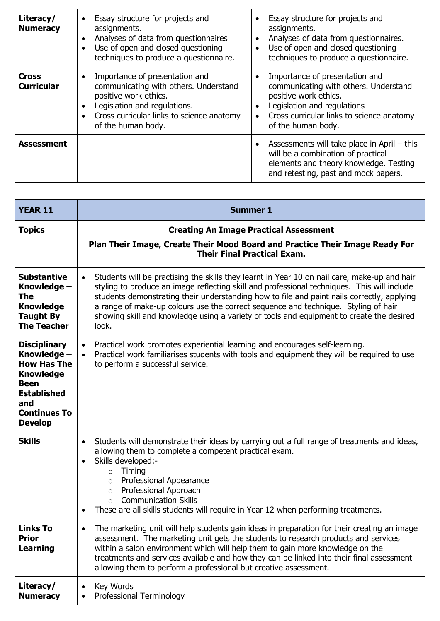| Literacy/<br><b>Numeracy</b>      | Essay structure for projects and<br>$\bullet$<br>assignments.<br>Analyses of data from questionnaires<br>$\bullet$<br>Use of open and closed questioning<br>techniques to produce a questionnaire.  | Essay structure for projects and<br>assignments.<br>Analyses of data from questionnaires.<br>$\bullet$<br>Use of open and closed questioning<br>techniques to produce a questionnaire.                          |
|-----------------------------------|-----------------------------------------------------------------------------------------------------------------------------------------------------------------------------------------------------|-----------------------------------------------------------------------------------------------------------------------------------------------------------------------------------------------------------------|
| <b>Cross</b><br><b>Curricular</b> | Importance of presentation and<br>communicating with others. Understand<br>positive work ethics.<br>Legislation and regulations.<br>Cross curricular links to science anatomy<br>of the human body. | Importance of presentation and<br>communicating with others. Understand<br>positive work ethics.<br>Legislation and regulations<br>$\bullet$<br>Cross curricular links to science anatomy<br>of the human body. |
| <b>Assessment</b>                 |                                                                                                                                                                                                     | Assessments will take place in April – this<br>will be a combination of practical<br>elements and theory knowledge. Testing<br>and retesting, past and mock papers.                                             |

| <b>YEAR 11</b>                                                                                                                                                    | <b>Summer 1</b>                                                                                                                                                                                                                                                                                                                                                                                                                                                                                   |
|-------------------------------------------------------------------------------------------------------------------------------------------------------------------|---------------------------------------------------------------------------------------------------------------------------------------------------------------------------------------------------------------------------------------------------------------------------------------------------------------------------------------------------------------------------------------------------------------------------------------------------------------------------------------------------|
| <b>Topics</b>                                                                                                                                                     | <b>Creating An Image Practical Assessment</b><br>Plan Their Image, Create Their Mood Board and Practice Their Image Ready For<br><b>Their Final Practical Exam.</b>                                                                                                                                                                                                                                                                                                                               |
| <b>Substantive</b><br>Knowledge -<br><b>The</b><br><b>Knowledge</b><br><b>Taught By</b><br><b>The Teacher</b>                                                     | Students will be practising the skills they learnt in Year 10 on nail care, make-up and hair<br>$\bullet$<br>styling to produce an image reflecting skill and professional techniques. This will include<br>students demonstrating their understanding how to file and paint nails correctly, applying<br>a range of make-up colours use the correct sequence and technique. Styling of hair<br>showing skill and knowledge using a variety of tools and equipment to create the desired<br>look. |
| <b>Disciplinary</b><br>Knowledge -<br><b>How Has The</b><br><b>Knowledge</b><br><b>Been</b><br><b>Established</b><br>and<br><b>Continues To</b><br><b>Develop</b> | Practical work promotes experiential learning and encourages self-learning.<br>$\bullet$<br>Practical work familiarises students with tools and equipment they will be required to use<br>to perform a successful service.                                                                                                                                                                                                                                                                        |
| <b>Skills</b>                                                                                                                                                     | Students will demonstrate their ideas by carrying out a full range of treatments and ideas,<br>$\bullet$<br>allowing them to complete a competent practical exam.<br>Skills developed:-<br>$\bullet$<br>Timing<br>$\circ$<br>Professional Appearance<br>$\circ$<br>Professional Approach<br>$\circ$<br><b>Communication Skills</b><br>$\Omega$<br>These are all skills students will require in Year 12 when performing treatments.<br>$\bullet$                                                  |
| Links To<br><b>Prior</b><br><b>Learning</b>                                                                                                                       | The marketing unit will help students gain ideas in preparation for their creating an image<br>assessment. The marketing unit gets the students to research products and services<br>within a salon environment which will help them to gain more knowledge on the<br>treatments and services available and how they can be linked into their final assessment<br>allowing them to perform a professional but creative assessment.                                                                |
| Literacy/<br><b>Numeracy</b>                                                                                                                                      | Key Words<br>$\bullet$<br>Professional Terminology                                                                                                                                                                                                                                                                                                                                                                                                                                                |